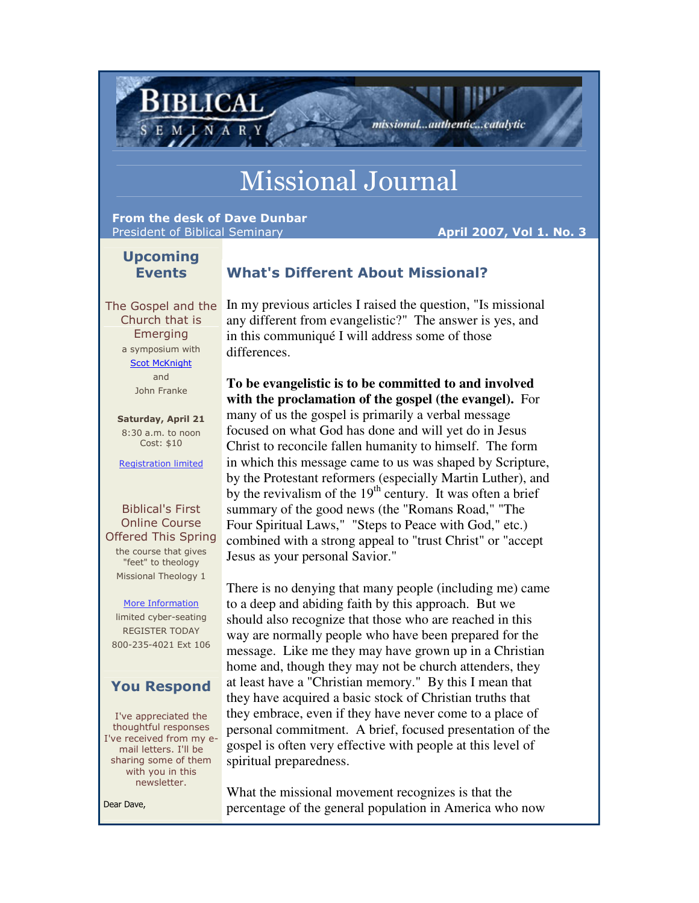# Missional Journal

From the desk of Dave Dunbar President of Biblical Seminary April 2007, Vol 1. No. 3

Biblical

missional...authentic...catalytic

# Upcoming Events

# What's Different About Missional?

Church that is Emerging a symposium with Scot McKnight and John Franke

Saturday, April 21 8:30 a.m. to noon Cost: \$10

Registration limited

## Biblical's First Online Course Offered This Spring the course that gives

"feet" to theology Missional Theology 1

#### More Information

limited cyber-seating REGISTER TODAY 800-235-4021 Ext 106

# You Respond

I've appreciated the thoughtful responses I've received from my email letters. I'll be sharing some of them with you in this newsletter.

Dear Dave,

The Gospel and the In my previous articles I raised the question, "Is missional any different from evangelistic?" The answer is yes, and in this communiqué I will address some of those differences.

> **To be evangelistic is to be committed to and involved with the proclamation of the gospel (the evangel).** For many of us the gospel is primarily a verbal message focused on what God has done and will yet do in Jesus Christ to reconcile fallen humanity to himself. The form in which this message came to us was shaped by Scripture, by the Protestant reformers (especially Martin Luther), and by the revivalism of the  $19<sup>th</sup>$  century. It was often a brief summary of the good news (the "Romans Road," "The Four Spiritual Laws," "Steps to Peace with God," etc.) combined with a strong appeal to "trust Christ" or "accept Jesus as your personal Savior."

> There is no denying that many people (including me) came to a deep and abiding faith by this approach. But we should also recognize that those who are reached in this way are normally people who have been prepared for the message. Like me they may have grown up in a Christian home and, though they may not be church attenders, they at least have a "Christian memory." By this I mean that they have acquired a basic stock of Christian truths that they embrace, even if they have never come to a place of personal commitment. A brief, focused presentation of the gospel is often very effective with people at this level of spiritual preparedness.

What the missional movement recognizes is that the percentage of the general population in America who now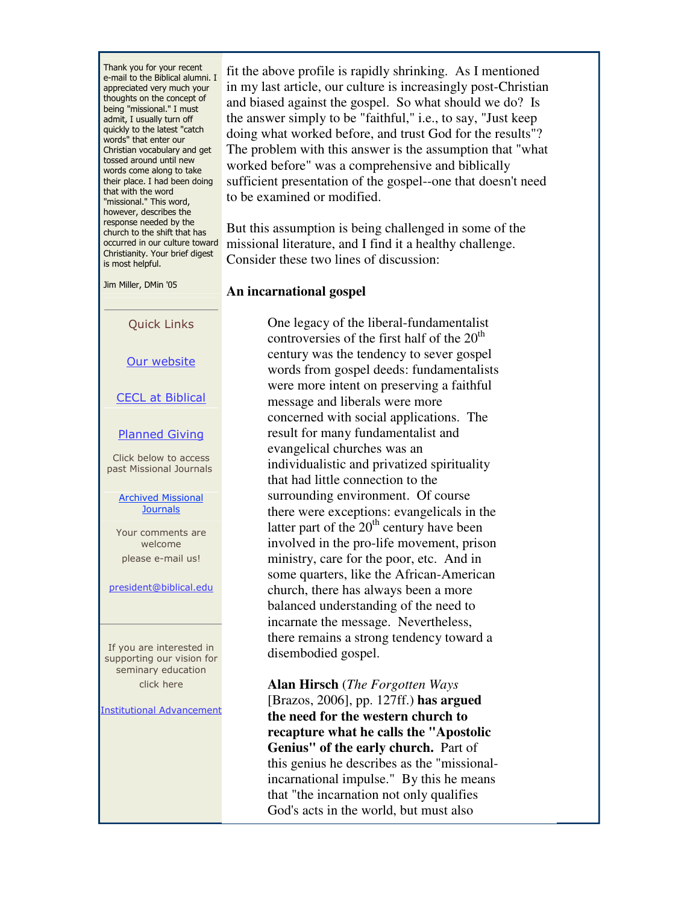Thank you for your recent e-mail to the Biblical alumni. I appreciated very much your thoughts on the concept of being "missional." I must admit, I usually turn off quickly to the latest "catch words" that enter our Christian vocabulary and get tossed around until new words come along to take their place. I had been doing that with the word "missional." This word, however, describes the response needed by the church to the shift that has occurred in our culture toward Christianity. Your brief digest is most helpful.

Jim Miller, DMin '05

Quick Links

Our website

CECL at Biblical

Planned Giving

Click below to access past Missional Journals

#### Archived Missional **Journals**

Your comments are welcome please e-mail us!

president@biblical.edu

If you are interested in supporting our vision for seminary education click here

**Institutional Advancement** 

fit the above profile is rapidly shrinking. As I mentioned in my last article, our culture is increasingly post-Christian and biased against the gospel. So what should we do? Is the answer simply to be "faithful," i.e., to say, "Just keep doing what worked before, and trust God for the results"? The problem with this answer is the assumption that "what worked before" was a comprehensive and biblically sufficient presentation of the gospel--one that doesn't need to be examined or modified.

But this assumption is being challenged in some of the missional literature, and I find it a healthy challenge. Consider these two lines of discussion:

#### **An incarnational gospel**

One legacy of the liberal-fundamentalist controversies of the first half of the  $20<sup>th</sup>$ century was the tendency to sever gospel words from gospel deeds: fundamentalists were more intent on preserving a faithful message and liberals were more concerned with social applications. The result for many fundamentalist and evangelical churches was an individualistic and privatized spirituality that had little connection to the surrounding environment. Of course there were exceptions: evangelicals in the latter part of the  $20<sup>th</sup>$  century have been involved in the pro-life movement, prison ministry, care for the poor, etc. And in some quarters, like the African-American church, there has always been a more balanced understanding of the need to incarnate the message. Nevertheless, there remains a strong tendency toward a disembodied gospel.

**Alan Hirsch** (*The Forgotten Ways*  [Brazos, 2006], pp. 127ff.) **has argued the need for the western church to recapture what he calls the "Apostolic Genius" of the early church.** Part of this genius he describes as the "missionalincarnational impulse." By this he means that "the incarnation not only qualifies God's acts in the world, but must also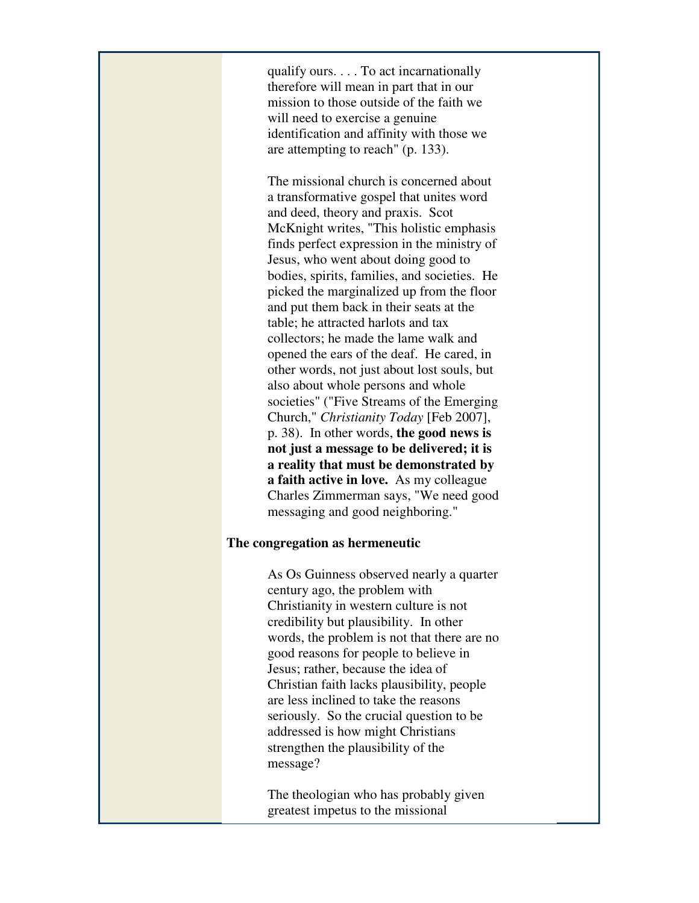qualify ours. . . . To act incarnationally therefore will mean in part that in our mission to those outside of the faith we will need to exercise a genuine identification and affinity with those we are attempting to reach" (p. 133).

The missional church is concerned about a transformative gospel that unites word and deed, theory and praxis. Scot McKnight writes, "This holistic emphasis finds perfect expression in the ministry of Jesus, who went about doing good to bodies, spirits, families, and societies. He picked the marginalized up from the floor and put them back in their seats at the table; he attracted harlots and tax collectors; he made the lame walk and opened the ears of the deaf. He cared, in other words, not just about lost souls, but also about whole persons and whole societies" ("Five Streams of the Emerging Church," *Christianity Today* [Feb 2007], p. 38). In other words, **the good news is not just a message to be delivered; it is a reality that must be demonstrated by a faith active in love.** As my colleague Charles Zimmerman says, "We need good messaging and good neighboring."

### **The congregation as hermeneutic**

As Os Guinness observed nearly a quarter century ago, the problem with Christianity in western culture is not credibility but plausibility. In other words, the problem is not that there are no good reasons for people to believe in Jesus; rather, because the idea of Christian faith lacks plausibility, people are less inclined to take the reasons seriously. So the crucial question to be addressed is how might Christians strengthen the plausibility of the message?

The theologian who has probably given greatest impetus to the missional